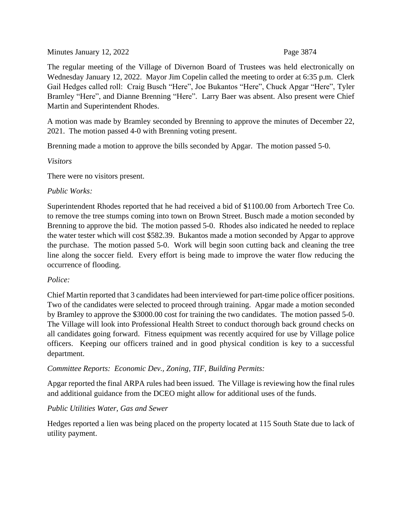Minutes January 12, 2022 Page 3874

The regular meeting of the Village of Divernon Board of Trustees was held electronically on Wednesday January 12, 2022. Mayor Jim Copelin called the meeting to order at 6:35 p.m. Clerk Gail Hedges called roll: Craig Busch "Here", Joe Bukantos "Here", Chuck Apgar "Here", Tyler Bramley "Here", and Dianne Brenning "Here". Larry Baer was absent. Also present were Chief Martin and Superintendent Rhodes.

A motion was made by Bramley seconded by Brenning to approve the minutes of December 22, 2021. The motion passed 4-0 with Brenning voting present.

Brenning made a motion to approve the bills seconded by Apgar. The motion passed 5-0.

### *Visitors*

There were no visitors present.

# *Public Works:*

Superintendent Rhodes reported that he had received a bid of \$1100.00 from Arbortech Tree Co. to remove the tree stumps coming into town on Brown Street. Busch made a motion seconded by Brenning to approve the bid. The motion passed 5-0. Rhodes also indicated he needed to replace the water tester which will cost \$582.39. Bukantos made a motion seconded by Apgar to approve the purchase. The motion passed 5-0. Work will begin soon cutting back and cleaning the tree line along the soccer field. Every effort is being made to improve the water flow reducing the occurrence of flooding.

# *Police:*

Chief Martin reported that 3 candidates had been interviewed for part-time police officer positions. Two of the candidates were selected to proceed through training. Apgar made a motion seconded by Bramley to approve the \$3000.00 cost for training the two candidates. The motion passed 5-0. The Village will look into Professional Health Street to conduct thorough back ground checks on all candidates going forward. Fitness equipment was recently acquired for use by Village police officers. Keeping our officers trained and in good physical condition is key to a successful department.

### *Committee Reports: Economic Dev., Zoning, TIF, Building Permits:*

Apgar reported the final ARPA rules had been issued. The Village is reviewing how the final rules and additional guidance from the DCEO might allow for additional uses of the funds.

### *Public Utilities Water, Gas and Sewer*

Hedges reported a lien was being placed on the property located at 115 South State due to lack of utility payment.